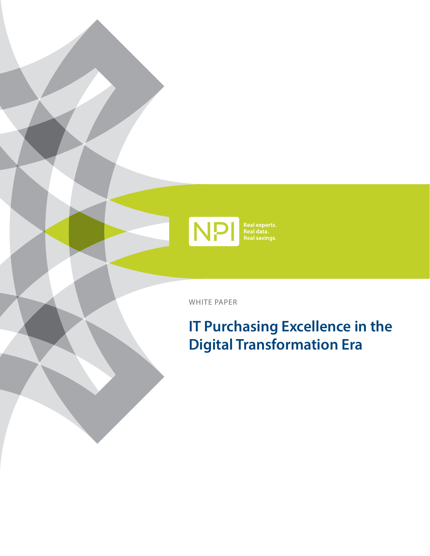

WHITE PAPER

# **IT Purchasing Excellence in the Digital Transformation Era**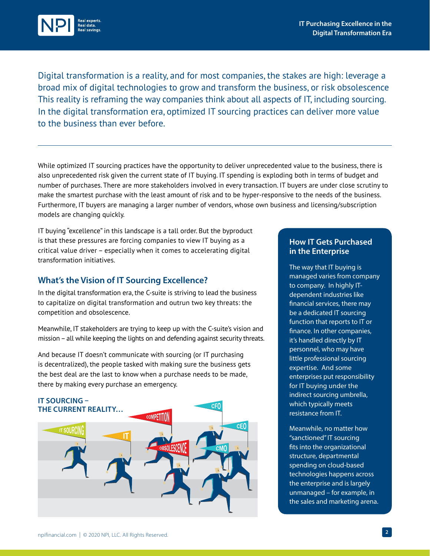

Digital transformation is a reality, and for most companies, the stakes are high: leverage a broad mix of digital technologies to grow and transform the business, or risk obsolescence This reality is reframing the way companies think about all aspects of IT, including sourcing. In the digital transformation era, optimized IT sourcing practices can deliver more value to the business than ever before.

While optimized IT sourcing practices have the opportunity to deliver unprecedented value to the business, there is also unprecedented risk given the current state of IT buying. IT spending is exploding both in terms of budget and number of purchases. There are more stakeholders involved in every transaction. IT buyers are under close scrutiny to make the smartest purchase with the least amount of risk and to be hyper-responsive to the needs of the business. Furthermore, IT buyers are managing a larger number of vendors, whose own business and licensing/subscription models are changing quickly.

IT buying "excellence" in this landscape is a tall order. But the byproduct is that these pressures are forcing companies to view IT buying as a critical value driver – especially when it comes to accelerating digital transformation initiatives.

### **What's the Vision of IT Sourcing Excellence?**

In the digital transformation era, the C-suite is striving to lead the business to capitalize on digital transformation and outrun two key threats: the competition and obsolescence.

Meanwhile, IT stakeholders are trying to keep up with the C-suite's vision and mission – all while keeping the lights on and defending against security threats.

And because IT doesn't communicate with sourcing (or IT purchasing is decentralized), the people tasked with making sure the business gets the best deal are the last to know when a purchase needs to be made, there by making every purchase an emergency.



#### **How IT Gets Purchased in the Enterprise**

The way that IT buying is managed varies from company to company. In highly ITdependent industries like financial services, there may be a dedicated IT sourcing function that reports to IT or finance. In other companies, it's handled directly by IT personnel, who may have little professional sourcing expertise. And some enterprises put responsibility for IT buying under the indirect sourcing umbrella, which typically meets resistance from IT.

Meanwhile, no matter how "sanctioned" IT sourcing fits into the organizational structure, departmental spending on cloud-based technologies happens across the enterprise and is largely unmanaged – for example, in the sales and marketing arena.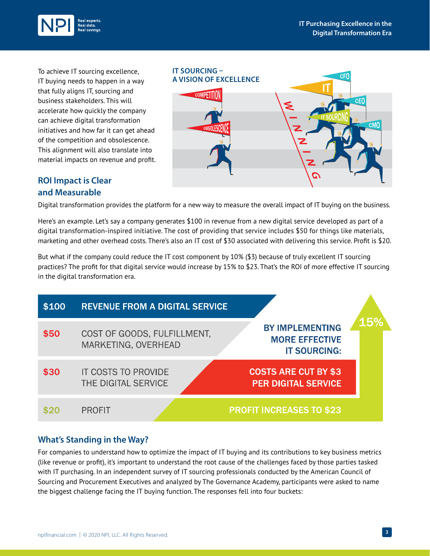

To achieve IT sourcing excellence, IT buying needs to happen in a way that fully aligns IT, sourcing and business stakeholders. This will accelerate how quickly the company can achieve digital transformation initiatives and how far it can get ahead of the competition and obsolescence. This alignment will also translate into material impacts on revenue and profit.



# **ROI Impact is Clear and Measurable**

Digital transformation provides the platform for a new way to measure the overall impact of IT buying on the business.

Here's an example. Let's say a company generates \$100 in revenue from a new digital service developed as part of a digital transformation-inspired initiative. The cost of providing that service includes \$50 for things like materials, marketing and other overhead costs. There's also an IT cost of \$30 associated with delivering this service. Profit is \$20.

But what if the company could reduce the IT cost component by 10% (\$3) because of truly excellent IT sourcing practices? The profit for that digital service would increase by 15% to \$23. That's the ROI of more effective IT sourcing in the digital transformation era.



# **What's Standing in the Way?**

For companies to understand how to optimize the impact of IT buying and its contributions to key business metrics (like revenue or profit), it's important to understand the root cause of the challenges faced by those parties tasked with IT purchasing. In an independent survey of IT sourcing professionals conducted by the American Council of Sourcing and Procurement Executives and analyzed by The Governance Academy, participants were asked to name the biggest challenge facing the IT buying function. The responses fell into four buckets: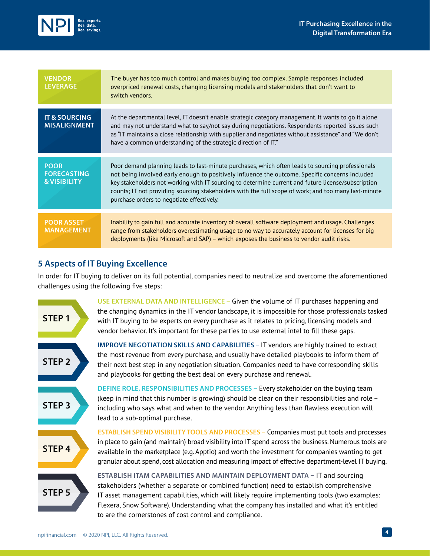

| <b>VENDOR</b><br><b>LEVERAGE</b>                             | The buyer has too much control and makes buying too complex. Sample responses included<br>overpriced renewal costs, changing licensing models and stakeholders that don't want to<br>switch vendors.                                                                                                                                                                                                                                                           |
|--------------------------------------------------------------|----------------------------------------------------------------------------------------------------------------------------------------------------------------------------------------------------------------------------------------------------------------------------------------------------------------------------------------------------------------------------------------------------------------------------------------------------------------|
| <b>IT &amp; SOURCING</b><br><b>MISALIGNMENT</b>              | At the departmental level, IT doesn't enable strategic category management. It wants to go it alone<br>and may not understand what to say/not say during negotiations. Respondents reported issues such<br>as "IT maintains a close relationship with supplier and negotiates without assistance" and "We don't<br>have a common understanding of the strategic direction of IT."                                                                              |
| <b>POOR</b><br><b>FORECASTING</b><br><b>&amp; VISIBILITY</b> | Poor demand planning leads to last-minute purchases, which often leads to sourcing professionals<br>not being involved early enough to positively influence the outcome. Specific concerns included<br>key stakeholders not working with IT sourcing to determine current and future license/subscription<br>counts; IT not providing sourcing stakeholders with the full scope of work; and too many last-minute<br>purchase orders to negotiate effectively. |
| <b>POOR ASSET</b><br><b>MANAGEMENT</b>                       | Inability to gain full and accurate inventory of overall software deployment and usage. Challenges<br>range from stakeholders overestimating usage to no way to accurately account for licenses for big<br>deployments (like Microsoft and SAP) – which exposes the business to vendor audit risks.                                                                                                                                                            |

## **5 Aspects of IT Buying Excellence**

In order for IT buying to deliver on its full potential, companies need to neutralize and overcome the aforementioned challenges using the following five steps: